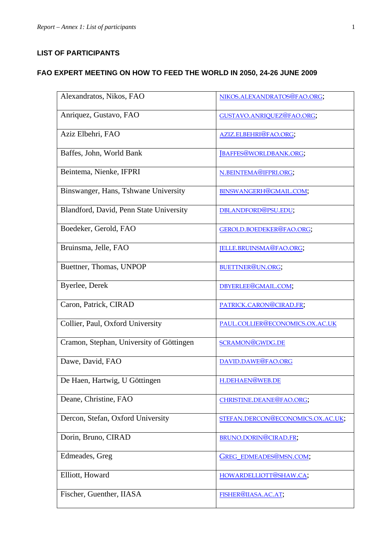## **LIST OF PARTICIPANTS**

## **FAO EXPERT MEETING ON HOW TO FEED THE WORLD IN 2050, 24-26 JUNE 2009**

| Alexandratos, Nikos, FAO                 | NIKOS.ALEXANDRATOS@FAO.ORG;       |
|------------------------------------------|-----------------------------------|
| Anriquez, Gustavo, FAO                   | GUSTAVO.ANRIQUEZ@FAO.ORG;         |
| Aziz Elbehri, FAO                        | AZIZ.ELBEHRI@FAO.ORG;             |
| Baffes, John, World Bank                 | [BAFFES@WORLDBANK.ORG;            |
| Beintema, Nienke, IFPRI                  | N.BEINTEMA@IFPRI.ORG;             |
| Binswanger, Hans, Tshwane University     | BINSWANGERH@GMAIL.COM;            |
| Blandford, David, Penn State University  | DBLANDFORD@PSU.EDU;               |
| Boedeker, Gerold, FAO                    | GEROLD.BOEDEKER@FAO.ORG;          |
| Bruinsma, Jelle, FAO                     | JELLE.BRUINSMA@FAO.ORG;           |
| Buettner, Thomas, UNPOP                  | BUETTNER@UN.ORG;                  |
| Byerlee, Derek                           | DBYERLEE@GMAIL.COM;               |
| Caron, Patrick, CIRAD                    | PATRICK.CARON@CIRAD.FR;           |
| Collier, Paul, Oxford University         | PAUL.COLLIER@ECONOMICS.OX.AC.UK   |
| Cramon, Stephan, University of Göttingen | SCRAMON@GWDG.DE                   |
| Dawe, David, FAO                         | DAVID.DAWE@FAO.ORG                |
| De Haen, Hartwig, U Göttingen            | H.DEHAEN@WEB.DE                   |
| Deane, Christine, FAO                    | CHRISTINE, DEANE@FAO, ORG;        |
| Dercon, Stefan, Oxford University        | STEFAN.DERCON@ECONOMICS.OX.AC.UK; |
| Dorin, Bruno, CIRAD                      | BRUNO.DORIN@CIRAD.FR;             |
| Edmeades, Greg                           | GREG_EDMEADES@MSN.COM;            |
| Elliott, Howard                          | HOWARDELLIOTT@SHAW.CA;            |
| Fischer, Guenther, IIASA                 | FISHER@IIASA.AC.AT;               |